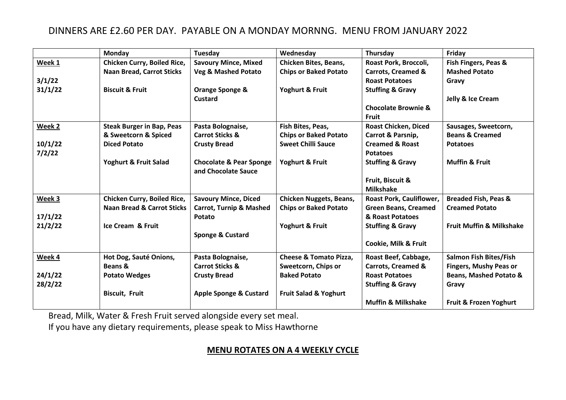## DINNERS ARE £2.60 PER DAY. PAYABLE ON A MONDAY MORNNG. MENU FROM JANUARY 2022

|         | Monday                                | Tuesday                                                   | Wednesday                         | Thursday                        | Friday                              |
|---------|---------------------------------------|-----------------------------------------------------------|-----------------------------------|---------------------------------|-------------------------------------|
| Week 1  | Chicken Curry, Boiled Rice,           | <b>Savoury Mince, Mixed</b>                               | <b>Chicken Bites, Beans,</b>      | Roast Pork, Broccoli,           | Fish Fingers, Peas &                |
|         | <b>Naan Bread, Carrot Sticks</b>      | <b>Veg &amp; Mashed Potato</b>                            | <b>Chips or Baked Potato</b>      | <b>Carrots, Creamed &amp;</b>   | <b>Mashed Potato</b>                |
| 3/1/22  |                                       |                                                           |                                   | <b>Roast Potatoes</b>           | Gravy                               |
| 31/1/22 | <b>Biscuit &amp; Fruit</b>            | Orange Sponge &                                           | Yoghurt & Fruit                   | <b>Stuffing &amp; Gravy</b>     |                                     |
|         |                                       | <b>Custard</b>                                            |                                   |                                 | Jelly & Ice Cream                   |
|         |                                       |                                                           |                                   | <b>Chocolate Brownie &amp;</b>  |                                     |
|         |                                       |                                                           |                                   | <b>Fruit</b>                    |                                     |
| Week 2  | <b>Steak Burger in Bap, Peas</b>      | Pasta Bolognaise,                                         | Fish Bites, Peas,                 | <b>Roast Chicken, Diced</b>     | Sausages, Sweetcorn,                |
|         | & Sweetcorn & Spiced                  | <b>Carrot Sticks &amp;</b>                                | <b>Chips or Baked Potato</b>      | Carrot & Parsnip,               | <b>Beans &amp; Creamed</b>          |
| 10/1/22 | <b>Diced Potato</b>                   | <b>Crusty Bread</b>                                       | <b>Sweet Chilli Sauce</b>         | <b>Creamed &amp; Roast</b>      | <b>Potatoes</b>                     |
| 7/2/22  |                                       |                                                           |                                   | <b>Potatoes</b>                 |                                     |
|         | Yoghurt & Fruit Salad                 | <b>Chocolate &amp; Pear Sponge</b><br>and Chocolate Sauce | Yoghurt & Fruit                   | <b>Stuffing &amp; Gravy</b>     | <b>Muffin &amp; Fruit</b>           |
|         |                                       |                                                           |                                   | Fruit, Biscuit &                |                                     |
|         |                                       |                                                           |                                   | <b>Milkshake</b>                |                                     |
| Week 3  | <b>Chicken Curry, Boiled Rice,</b>    | <b>Savoury Mince, Diced</b>                               | <b>Chicken Nuggets, Beans,</b>    | Roast Pork, Cauliflower,        | <b>Breaded Fish, Peas &amp;</b>     |
|         | <b>Naan Bread &amp; Carrot Sticks</b> | <b>Carrot, Turnip &amp; Mashed</b>                        | <b>Chips or Baked Potato</b>      | <b>Green Beans, Creamed</b>     | <b>Creamed Potato</b>               |
| 17/1/22 |                                       | Potato                                                    |                                   | & Roast Potatoes                |                                     |
| 21/2/22 | <b>Ice Cream &amp; Fruit</b>          |                                                           | Yoghurt & Fruit                   | <b>Stuffing &amp; Gravy</b>     | <b>Fruit Muffin &amp; Milkshake</b> |
|         |                                       | <b>Sponge &amp; Custard</b>                               |                                   |                                 |                                     |
|         |                                       |                                                           |                                   | <b>Cookie, Milk &amp; Fruit</b> |                                     |
| Week 4  | Hot Dog, Sauté Onions,                | Pasta Bolognaise,                                         | <b>Cheese &amp; Tomato Pizza,</b> | Roast Beef, Cabbage,            | <b>Salmon Fish Bites/Fish</b>       |
|         | Beans &                               | <b>Carrot Sticks &amp;</b>                                | Sweetcorn, Chips or               | Carrots, Creamed &              | <b>Fingers, Mushy Peas or</b>       |
| 24/1/22 | <b>Potato Wedges</b>                  | <b>Crusty Bread</b>                                       | <b>Baked Potato</b>               | <b>Roast Potatoes</b>           | <b>Beans, Mashed Potato &amp;</b>   |
| 28/2/22 |                                       |                                                           |                                   | <b>Stuffing &amp; Gravy</b>     | Gravy                               |
|         | <b>Biscuit, Fruit</b>                 | <b>Apple Sponge &amp; Custard</b>                         | <b>Fruit Salad &amp; Yoghurt</b>  |                                 |                                     |
|         |                                       |                                                           |                                   | <b>Muffin &amp; Milkshake</b>   | Fruit & Frozen Yoghurt              |

Bread, Milk, Water & Fresh Fruit served alongside every set meal.

If you have any dietary requirements, please speak to Miss Hawthorne

## **MENU ROTATES ON A 4 WEEKLY CYCLE**